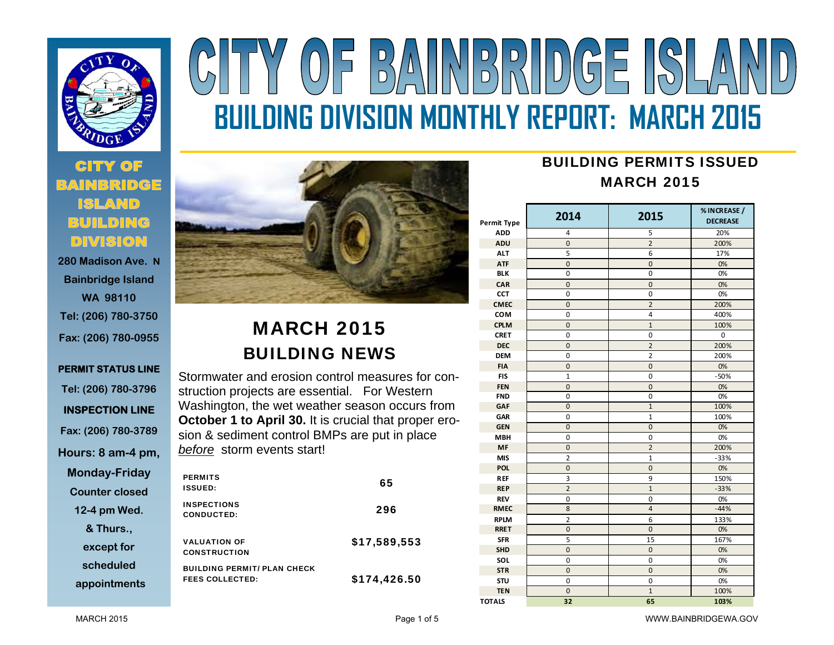

# **280 Madison Ave. N**

**Bainbridge Island WA 98110 Tel: (206) 780-3750 Fax: (206) 780-0955** 

## **PERMIT STATUS LINE Tel: (206) 780-3796 INSPECTION LINE Fax: (206) 780-3789 Hours: 8 am-4 pm, Monday-Friday Counter closed 12-4 pm Wed. & Thurs., except for scheduled**



# MARCH 2015 BUILDING NEWS

Stormwater and erosion control measures for construction projects are essential. For Western Washington, the wet weather season occurs from **October 1 to April 30.** It is crucial that proper erosion & sediment control BMPs are put in place *before* storm events start!

| <b>PERMITS</b><br><b>ISSUED:</b>                             | 65           |
|--------------------------------------------------------------|--------------|
| <b>INSPECTIONS</b><br><b>CONDUCTED:</b>                      | 296          |
| <b>VALUATION OF</b><br><b>CONSTRUCTION</b>                   | \$17,589,553 |
| <b>BUILDING PERMIT/ PLAN CHECK</b><br><b>FEES COLLECTED:</b> | \$174,426.50 |

# BUILDING PERMITS ISSUEDMARCH 2015

| <b>Permit Type</b> | 2014                          | 2015           | % INCREASE /<br><b>DECREASE</b> |  |  |
|--------------------|-------------------------------|----------------|---------------------------------|--|--|
| <b>ADD</b>         | 4                             | 5              | 20%                             |  |  |
| <b>ADU</b>         | 0                             | $\overline{2}$ | 200%                            |  |  |
| <b>ALT</b>         | 5                             | 6              | 17%                             |  |  |
| <b>ATF</b>         | $\mathbf 0$                   | $\mathbf 0$    | 0%<br>0%                        |  |  |
| <b>BLK</b>         | $\mathbf 0$                   | $\mathbf 0$    |                                 |  |  |
| CAR                | $\mathbf 0$                   | $\mathbf 0$    | 0%                              |  |  |
| <b>CCT</b>         | 0                             | 0              | 0%                              |  |  |
| <b>CMEC</b>        | $\mathbf 0$                   | $\overline{2}$ | 200%                            |  |  |
| <b>COM</b>         | 0                             | $\overline{a}$ | 400%                            |  |  |
| <b>CPLM</b>        | $\overline{0}$                | 100%           |                                 |  |  |
| <b>CRET</b>        | 0                             | 0              | 0                               |  |  |
| <b>DEC</b>         | $\mathbf 0$                   | $\overline{2}$ | 200%                            |  |  |
| <b>DEM</b>         | $\mathbf 0$                   | $\overline{2}$ | 200%                            |  |  |
| <b>FIA</b>         | $\overline{0}$                | $\overline{0}$ | 0%                              |  |  |
| <b>FIS</b>         | $\mathbf{1}$                  | 0              | $-50%$                          |  |  |
| <b>FEN</b>         | $\overline{0}$<br>$\mathbf 0$ |                | 0%                              |  |  |
| <b>FND</b>         | $\mathbf 0$                   | 0              | 0%                              |  |  |
| <b>GAF</b>         | $\overline{0}$                | $\overline{1}$ | 100%                            |  |  |
| GAR                | 0                             | $\mathbf{1}$   | 100%                            |  |  |
| <b>GEN</b>         | $\mathbf 0$                   | 0              | 0%                              |  |  |
| <b>MBH</b>         | 0                             | 0              | 0%                              |  |  |
| <b>MF</b>          | $\mathbf 0$                   | $\overline{2}$ | 200%                            |  |  |
| <b>MIS</b>         | $\overline{2}$                | $\mathbf{1}$   | $-33%$                          |  |  |
| <b>POL</b>         | 0                             | 0              | 0%                              |  |  |
| <b>REF</b>         | 3                             | 9              | 150%                            |  |  |
| <b>REP</b>         | $\overline{2}$                | $\mathbf{1}$   | $-33%$                          |  |  |
| <b>REV</b>         | $\mathbf 0$                   | $\mathbf 0$    | 0%                              |  |  |
| <b>RMEC</b>        | 8                             | $\overline{a}$ | $-44%$                          |  |  |
| <b>RPLM</b>        | $\overline{2}$                | 6              | 133%                            |  |  |
| <b>RRET</b>        | $\mathbf 0$                   | $\mathbf 0$    | 0%                              |  |  |
| <b>SFR</b>         | 5                             | 15             | 167%                            |  |  |
| <b>SHD</b>         | $\overline{0}$                | 0              | 0%                              |  |  |
| SOL                | 0                             | 0              | 0%                              |  |  |
| <b>STR</b>         | $\overline{0}$                | $\overline{0}$ | 0%                              |  |  |
| STU                | $\mathbf 0$                   | $\mathbf 0$    | 0%                              |  |  |
| <b>TEN</b>         | $\overline{0}$                | $\overline{1}$ | 100%                            |  |  |
| <b>TOTALS</b>      | 32                            | 65             | 103%                            |  |  |

MARCH 2015

**appointments**

**BUILDING DIVISION MONTHLY REPORT: MARCH 2015** 

 $(0)$   $\overline{5}$   $\overline{6}$   $\overline{1}$   $\overline{1}$   $\overline{1}$   $\overline{1}$   $\overline{1}$   $\overline{1}$   $\overline{1}$   $\overline{1}$   $\overline{1}$   $\overline{1}$   $\overline{1}$   $\overline{1}$   $\overline{1}$   $\overline{1}$   $\overline{1}$   $\overline{1}$   $\overline{1}$   $\overline{1}$   $\overline{1}$   $\overline{1}$   $\overline{1}$   $\overline{1}$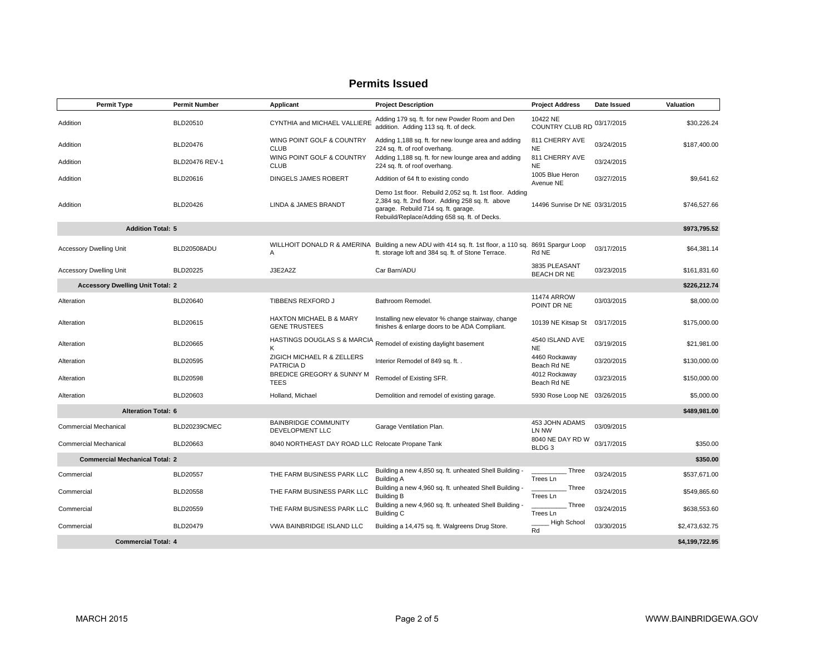| <b>Permit Type</b>                      |                            | <b>Permit Number</b> | Applicant                                         | <b>Project Description</b>                                                                                                                                                                          | <b>Project Address</b>                | Date Issued | Valuation      |
|-----------------------------------------|----------------------------|----------------------|---------------------------------------------------|-----------------------------------------------------------------------------------------------------------------------------------------------------------------------------------------------------|---------------------------------------|-------------|----------------|
| Addition                                |                            | BLD20510             | CYNTHIA and MICHAEL VALLIERE                      | Adding 179 sq. ft. for new Powder Room and Den<br>addition. Adding 113 sq. ft. of deck.                                                                                                             | 10422 NE<br><b>COUNTRY CLUB RD</b>    | 03/17/2015  | \$30,226.24    |
| Addition                                |                            | BLD20476             | WING POINT GOLF & COUNTRY<br><b>CLUB</b>          | Adding 1,188 sq. ft. for new lounge area and adding<br>224 sq. ft. of roof overhang.                                                                                                                | 811 CHERRY AVE<br><b>NE</b>           | 03/24/2015  | \$187,400.00   |
| Addition                                |                            | BLD20476 REV-1       | WING POINT GOLF & COUNTRY<br><b>CLUB</b>          | Adding 1,188 sq. ft. for new lounge area and adding<br>224 sq. ft. of roof overhang.                                                                                                                | 811 CHERRY AVE<br><b>NE</b>           | 03/24/2015  |                |
| Addition                                |                            | BLD20616             | DINGELS JAMES ROBERT                              | Addition of 64 ft to existing condo                                                                                                                                                                 | 1005 Blue Heron<br>Avenue NE          | 03/27/2015  | \$9,641.62     |
| Addition                                |                            | BLD20426             | LINDA & JAMES BRANDT                              | Demo 1st floor. Rebuild 2,052 sq. ft. 1st floor. Adding<br>2,384 sq. ft. 2nd floor. Adding 258 sq. ft. above<br>garage. Rebuild 714 sq. ft. garage.<br>Rebuild/Replace/Adding 658 sq. ft. of Decks. | 14496 Sunrise Dr NE 03/31/2015        |             | \$746,527.66   |
|                                         | <b>Addition Total: 5</b>   |                      |                                                   |                                                                                                                                                                                                     |                                       |             | \$973,795.52   |
| <b>Accessory Dwelling Unit</b>          |                            | BLD20508ADU          | Α                                                 | WILLHOIT DONALD R & AMERINA Building a new ADU with 414 sq. ft. 1st floor, a 110 sq.<br>ft. storage loft and 384 sq. ft. of Stone Terrace.                                                          | 8691 Spargur Loop<br>Rd NE            | 03/17/2015  | \$64,381.14    |
| <b>Accessory Dwelling Unit</b>          |                            | <b>BLD20225</b>      | J3E2A2Z                                           | Car Barn/ADU                                                                                                                                                                                        | 3835 PLEASANT<br><b>BEACH DR NE</b>   | 03/23/2015  | \$161,831.60   |
| <b>Accessory Dwelling Unit Total: 2</b> |                            |                      |                                                   |                                                                                                                                                                                                     |                                       |             | \$226,212.74   |
| Alteration                              |                            | <b>BLD20640</b>      | TIBBENS REXFORD J                                 | Bathroom Remodel.                                                                                                                                                                                   | <b>11474 ARROW</b><br>POINT DR NE     | 03/03/2015  | \$8,000.00     |
| Alteration                              |                            | BLD20615             | HAXTON MICHAEL B & MARY<br><b>GENE TRUSTEES</b>   | Installing new elevator % change stairway, change<br>finishes & enlarge doors to be ADA Compliant.                                                                                                  | 10139 NE Kitsap St                    | 03/17/2015  | \$175,000.00   |
| Alteration                              |                            | <b>BLD20665</b>      | Κ                                                 | HASTINGS DOUGLAS S & MARCIA Remodel of existing daylight basement                                                                                                                                   | 4540 ISLAND AVE<br><b>NE</b>          | 03/19/2015  | \$21,981.00    |
| Alteration                              |                            | BLD20595             | ZIGICH MICHAEL R & ZELLERS<br>PATRICIA D          | Interior Remodel of 849 sq. ft. .                                                                                                                                                                   | 4460 Rockaway<br>Beach Rd NE          | 03/20/2015  | \$130,000.00   |
| Alteration                              |                            | <b>BLD20598</b>      | BREDICE GREGORY & SUNNY M<br><b>TEES</b>          | Remodel of Existing SFR.                                                                                                                                                                            | 4012 Rockaway<br>Beach Rd NE          | 03/23/2015  | \$150,000.00   |
| Alteration                              |                            | BLD20603             | Holland, Michael                                  | Demolition and remodel of existing garage.                                                                                                                                                          | 5930 Rose Loop NE 03/26/2015          |             | \$5,000.00     |
|                                         | <b>Alteration Total: 6</b> |                      |                                                   |                                                                                                                                                                                                     |                                       |             | \$489,981.00   |
| <b>Commercial Mechanical</b>            |                            | BLD20239CMEC         | <b>BAINBRIDGE COMMUNITY</b><br>DEVELOPMENT LLC    | Garage Ventilation Plan.                                                                                                                                                                            | 453 JOHN ADAMS<br>LN NW               | 03/09/2015  |                |
| <b>Commercial Mechanical</b>            |                            | BLD20663             | 8040 NORTHEAST DAY ROAD LLC Relocate Propane Tank |                                                                                                                                                                                                     | 8040 NE DAY RD W<br>BLDG <sub>3</sub> | 03/17/2015  | \$350.00       |
| <b>Commercial Mechanical Total: 2</b>   |                            |                      |                                                   |                                                                                                                                                                                                     |                                       |             | \$350.00       |
| Commercial                              |                            | <b>BLD20557</b>      | THE FARM BUSINESS PARK LLC                        | Building a new 4,850 sq. ft. unheated Shell Building -<br><b>Building A</b>                                                                                                                         | Three<br>Trees Ln                     | 03/24/2015  | \$537,671.00   |
| Commercial                              |                            | <b>BLD20558</b>      | THE FARM BUSINESS PARK LLC                        | Building a new 4,960 sq. ft. unheated Shell Building -<br><b>Building B</b>                                                                                                                         | Three<br>Trees Ln                     | 03/24/2015  | \$549,865.60   |
| Commercial                              |                            | <b>BLD20559</b>      | THE FARM BUSINESS PARK LLC                        | Building a new 4,960 sq. ft. unheated Shell Building -<br><b>Building C</b>                                                                                                                         | Three<br>Trees Ln                     | 03/24/2015  | \$638,553.60   |
| Commercial                              |                            | BLD20479             | <b>VWA BAINBRIDGE ISLAND LLC</b>                  | Building a 14,475 sq. ft. Walgreens Drug Store.                                                                                                                                                     | <b>High School</b><br>Rd              | 03/30/2015  | \$2,473,632.75 |
|                                         | <b>Commercial Total: 4</b> |                      |                                                   |                                                                                                                                                                                                     |                                       |             | \$4,199,722.95 |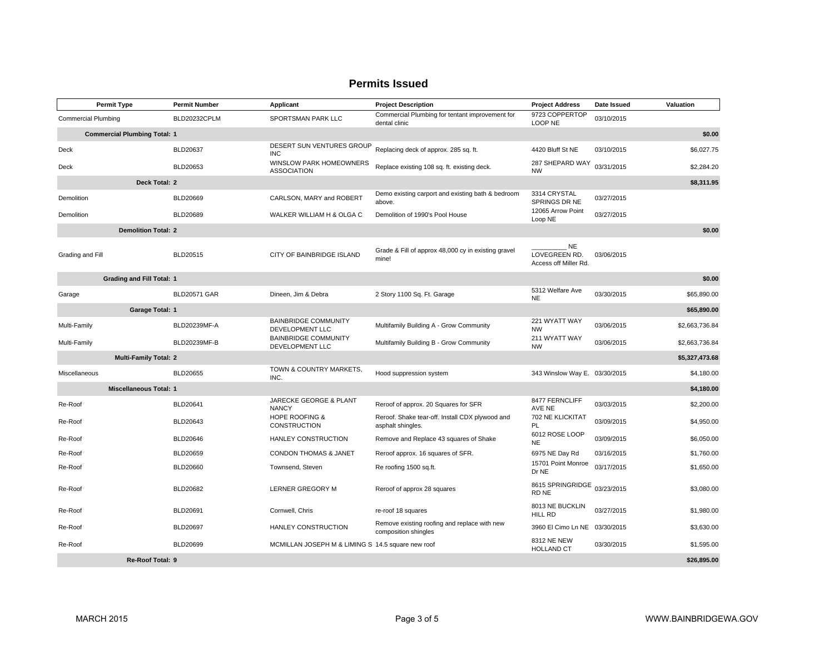|                                     | <b>Permit Type</b>               | <b>Permit Number</b> | Applicant                                         | <b>Project Description</b>                                           | <b>Project Address</b>                              | Date Issued | Valuation      |
|-------------------------------------|----------------------------------|----------------------|---------------------------------------------------|----------------------------------------------------------------------|-----------------------------------------------------|-------------|----------------|
| <b>Commercial Plumbing</b>          |                                  | BLD20232CPLM         | SPORTSMAN PARK LLC                                | Commercial Plumbing for tentant improvement for<br>dental clinic     | 9723 COPPERTOP<br>LOOP NE                           | 03/10/2015  |                |
| <b>Commercial Plumbing Total: 1</b> |                                  |                      |                                                   |                                                                      |                                                     |             | \$0.00         |
| Deck                                |                                  | BLD20637             | DESERT SUN VENTURES GROUP<br><b>INC</b>           | Replacing deck of approx. 285 sq. ft.                                | 4420 Bluff St NE                                    | 03/10/2015  | \$6,027.75     |
| Deck                                |                                  | BLD20653             | WINSLOW PARK HOMEOWNERS<br><b>ASSOCIATION</b>     | Replace existing 108 sq. ft. existing deck.                          | 287 SHEPARD WAY<br><b>NW</b>                        | 03/31/2015  | \$2,284.20     |
|                                     | Deck Total: 2                    |                      |                                                   |                                                                      |                                                     |             | \$8,311.95     |
| Demolition                          |                                  | BLD20669             | CARLSON, MARY and ROBERT                          | Demo existing carport and existing bath & bedroom<br>above.          | 3314 CRYSTAL<br>SPRINGS DR NE                       | 03/27/2015  |                |
| Demolition                          |                                  | BLD20689             | WALKER WILLIAM H & OLGA C                         | Demolition of 1990's Pool House                                      | 12065 Arrow Point<br>Loop NE                        | 03/27/2015  |                |
|                                     | <b>Demolition Total: 2</b>       |                      |                                                   |                                                                      |                                                     |             | \$0.00         |
| Grading and Fill                    |                                  | BLD20515             | CITY OF BAINBRIDGE ISLAND                         | Grade & Fill of approx 48,000 cy in existing gravel<br>mine!         | <b>NE</b><br>LOVEGREEN RD.<br>Access off Miller Rd. | 03/06/2015  |                |
|                                     | <b>Grading and Fill Total: 1</b> |                      |                                                   |                                                                      |                                                     |             | \$0.00         |
| Garage                              |                                  | <b>BLD20571 GAR</b>  | Dineen, Jim & Debra                               | 2 Story 1100 Sq. Ft. Garage                                          | 5312 Welfare Ave<br>NE.                             | 03/30/2015  | \$65,890.00    |
|                                     | Garage Total: 1                  |                      |                                                   |                                                                      |                                                     |             | \$65,890.00    |
| Multi-Family                        |                                  | BLD20239MF-A         | <b>BAINBRIDGE COMMUNITY</b><br>DEVELOPMENT LLC    | Multifamily Building A - Grow Community                              | 221 WYATT WAY<br><b>NW</b>                          | 03/06/2015  | \$2,663,736.84 |
| Multi-Family                        |                                  | BLD20239MF-B         | <b>BAINBRIDGE COMMUNITY</b><br>DEVELOPMENT LLC    | Multifamily Building B - Grow Community                              | 211 WYATT WAY<br><b>NW</b>                          | 03/06/2015  | \$2,663,736.84 |
|                                     | <b>Multi-Family Total: 2</b>     |                      |                                                   |                                                                      |                                                     |             | \$5,327,473.68 |
| Miscellaneous                       |                                  | BLD20655             | TOWN & COUNTRY MARKETS,<br>INC.                   | Hood suppression system                                              | 343 Winslow Way E. 03/30/2015                       |             | \$4,180.00     |
|                                     | <b>Miscellaneous Total: 1</b>    |                      |                                                   |                                                                      |                                                     |             | \$4,180.00     |
| Re-Roof                             |                                  | BLD20641             | JARECKE GEORGE & PLANT<br><b>NANCY</b>            | Reroof of approx. 20 Squares for SFR                                 | 8477 FERNCLIFF<br>AVE NE                            | 03/03/2015  | \$2,200.00     |
| Re-Roof                             |                                  | BLD20643             | <b>HOPE ROOFING &amp;</b><br>CONSTRUCTION         | Reroof. Shake tear-off. Install CDX plywood and<br>asphalt shingles. | 702 NE KLICKITAT<br>PL                              | 03/09/2015  | \$4,950.00     |
| Re-Roof                             |                                  | BLD20646             | <b>HANLEY CONSTRUCTION</b>                        | Remove and Replace 43 squares of Shake                               | 6012 ROSE LOOP<br><b>NE</b>                         | 03/09/2015  | \$6,050.00     |
| Re-Roof                             |                                  | BLD20659             | <b>CONDON THOMAS &amp; JANET</b>                  | Reroof approx. 16 squares of SFR.                                    | 6975 NE Day Rd                                      | 03/16/2015  | \$1,760.00     |
| Re-Roof                             |                                  | BLD20660             | Townsend, Steven                                  | Re roofing 1500 sq.ft.                                               | 15701 Point Monroe<br>Dr NE                         | 03/17/2015  | \$1,650.00     |
| Re-Roof                             |                                  | BLD20682             | LERNER GREGORY M                                  | Reroof of approx 28 squares                                          | 8615 SPRINGRIDGE<br>RD NE                           | 03/23/2015  | \$3,080.00     |
| Re-Roof                             |                                  | BLD20691             | Cornwell, Chris                                   | re-roof 18 squares                                                   | 8013 NE BUCKLIN<br>HILL RD                          | 03/27/2015  | \$1,980.00     |
| Re-Roof                             |                                  | <b>BLD20697</b>      | HANLEY CONSTRUCTION                               | Remove existing roofing and replace with new<br>composition shingles | 3960 El Cimo Ln NE 03/30/2015                       |             | \$3,630.00     |
| Re-Roof                             |                                  | BLD20699             | MCMILLAN JOSEPH M & LIMING S 14.5 square new roof |                                                                      | 8312 NE NEW<br><b>HOLLAND CT</b>                    | 03/30/2015  | \$1,595.00     |
|                                     | Re-Roof Total: 9                 |                      |                                                   |                                                                      |                                                     |             | \$26,895.00    |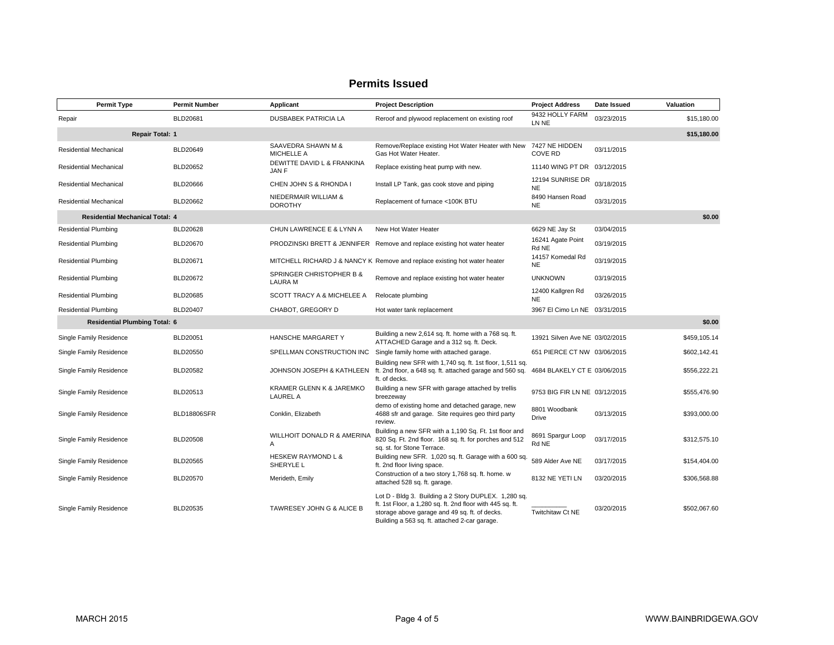| <b>Permit Type</b>                     | <b>Permit Number</b> | Applicant                                   | <b>Project Description</b>                                                                                                                                                                                          | <b>Project Address</b>           | Date Issued | Valuation    |  |
|----------------------------------------|----------------------|---------------------------------------------|---------------------------------------------------------------------------------------------------------------------------------------------------------------------------------------------------------------------|----------------------------------|-------------|--------------|--|
| Repair                                 | BLD20681             | <b>DUSBABEK PATRICIA LA</b>                 | Reroof and plywood replacement on existing roof                                                                                                                                                                     | 9432 HOLLY FARM<br>LN NE         | 03/23/2015  | \$15,180.00  |  |
| \$15,180.00<br><b>Repair Total: 1</b>  |                      |                                             |                                                                                                                                                                                                                     |                                  |             |              |  |
| Residential Mechanical                 | BLD20649             | SAAVEDRA SHAWN M &<br><b>MICHELLE A</b>     | Remove/Replace existing Hot Water Heater with New<br>Gas Hot Water Heater.                                                                                                                                          | 7427 NE HIDDEN<br><b>COVE RD</b> | 03/11/2015  |              |  |
| Residential Mechanical                 | BLD20652             | DEWITTE DAVID L & FRANKINA<br>JAN F         | Replace existing heat pump with new.                                                                                                                                                                                | 11140 WING PT DR 03/12/2015      |             |              |  |
| Residential Mechanical                 | BLD20666             | CHEN JOHN S & RHONDA I                      | Install LP Tank, gas cook stove and piping                                                                                                                                                                          | 12194 SUNRISE DR<br><b>NE</b>    | 03/18/2015  |              |  |
| Residential Mechanical                 | BLD20662             | NIEDERMAIR WILLIAM &<br><b>DOROTHY</b>      | Replacement of furnace <100K BTU                                                                                                                                                                                    | 8490 Hansen Road<br><b>NE</b>    | 03/31/2015  |              |  |
| <b>Residential Mechanical Total: 4</b> |                      |                                             |                                                                                                                                                                                                                     |                                  |             | \$0.00       |  |
| <b>Residential Plumbing</b>            | <b>BLD20628</b>      | CHUN LAWRENCE E & LYNN A                    | New Hot Water Heater                                                                                                                                                                                                | 6629 NE Jay St                   | 03/04/2015  |              |  |
| <b>Residential Plumbing</b>            | <b>BLD20670</b>      |                                             | PRODZINSKI BRETT & JENNIFER Remove and replace existing hot water heater                                                                                                                                            | 16241 Agate Point<br>Rd NE       | 03/19/2015  |              |  |
| <b>Residential Plumbing</b>            | BLD20671             |                                             | MITCHELL RICHARD J & NANCY K Remove and replace existing hot water heater                                                                                                                                           | 14157 Komedal Rd<br><b>NE</b>    | 03/19/2015  |              |  |
| <b>Residential Plumbing</b>            | <b>BLD20672</b>      | SPRINGER CHRISTOPHER B &<br><b>LAURA M</b>  | Remove and replace existing hot water heater                                                                                                                                                                        | <b>UNKNOWN</b>                   | 03/19/2015  |              |  |
| <b>Residential Plumbing</b>            | <b>BLD20685</b>      | SCOTT TRACY A & MICHELEE A                  | Relocate plumbing                                                                                                                                                                                                   | 12400 Kallgren Rd<br><b>NE</b>   | 03/26/2015  |              |  |
| <b>Residential Plumbing</b>            | <b>BLD20407</b>      | CHABOT, GREGORY D                           | Hot water tank replacement                                                                                                                                                                                          | 3967 El Cimo Ln NE 03/31/2015    |             |              |  |
| <b>Residential Plumbing Total: 6</b>   |                      |                                             |                                                                                                                                                                                                                     |                                  |             | \$0.00       |  |
| Single Family Residence                | BLD20051             | <b>HANSCHE MARGARET Y</b>                   | Building a new 2,614 sq. ft. home with a 768 sq. ft.<br>ATTACHED Garage and a 312 sq. ft. Deck.                                                                                                                     | 13921 Silven Ave NE 03/02/2015   |             | \$459.105.14 |  |
| Single Family Residence                | <b>BLD20550</b>      | SPELLMAN CONSTRUCTION INC                   | Single family home with attached garage.                                                                                                                                                                            | 651 PIERCE CT NW 03/06/2015      |             | \$602,142.41 |  |
| Single Family Residence                | BLD20582             | JOHNSON JOSEPH & KATHLEEN                   | Building new SFR with 1,740 sq. ft. 1st floor, 1,511 sq.<br>ft. 2nd floor, a 648 sq. ft. attached garage and 560 sq.<br>ft. of decks.                                                                               | 4684 BLAKELY CT E 03/06/2015     |             | \$556,222.21 |  |
| Single Family Residence                | BLD20513             | KRAMER GLENN K & JAREMKO<br><b>LAUREL A</b> | Building a new SFR with garage attached by trellis<br>breezeway                                                                                                                                                     | 9753 BIG FIR LN NE 03/12/2015    |             | \$555.476.90 |  |
| Single Family Residence                | <b>BLD18806SFR</b>   | Conklin, Elizabeth                          | demo of existing home and detached garage, new<br>4688 sfr and garage. Site requires geo third party<br>review.                                                                                                     | 8801 Woodbank<br><b>Drive</b>    | 03/13/2015  | \$393,000.00 |  |
| Single Family Residence                | BLD20508             | WILLHOIT DONALD R & AMERINA<br>A            | Building a new SFR with a 1,190 Sq. Ft. 1st floor and<br>820 Sq. Ft. 2nd floor. 168 sq. ft. for porches and 512<br>sq. st. for Stone Terrace.                                                                       | 8691 Spargur Loop<br>Rd NE       | 03/17/2015  | \$312,575.10 |  |
| Single Family Residence                | <b>BLD20565</b>      | <b>HESKEW RAYMOND L &amp;</b><br>SHERYLE L  | Building new SFR. 1,020 sq. ft. Garage with a 600 sq.<br>ft. 2nd floor living space.                                                                                                                                | 589 Alder Ave NE                 | 03/17/2015  | \$154,404.00 |  |
| Single Family Residence                | <b>BLD20570</b>      | Merideth, Emily                             | Construction of a two story 1,768 sq. ft. home. w<br>attached 528 sq. ft. garage.                                                                                                                                   | 8132 NE YETI LN                  | 03/20/2015  | \$306,568.88 |  |
| Single Family Residence                | BLD20535             | <b>TAWRESEY JOHN G &amp; ALICE B</b>        | Lot D - Bldg 3. Building a 2 Story DUPLEX. 1,280 sq.<br>ft. 1st Floor, a 1,280 sq. ft. 2nd floor with 445 sq. ft.<br>storage above garage and 49 sq. ft. of decks.<br>Building a 563 sq. ft. attached 2-car garage. | <b>Twitchitaw Ct NE</b>          | 03/20/2015  | \$502.067.60 |  |